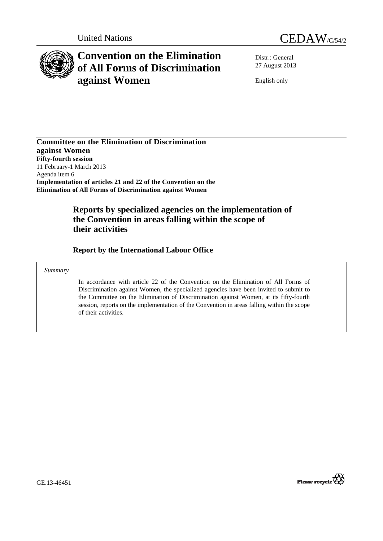



# **Convention on the Elimination of All Forms of Discrimination against Women**

Distr.: General 27 August 2013

English only

**Committee on the Elimination of Discrimination against Women Fifty-fourth session**  11 February-1 March 2013 Agenda item 6 **Implementation of articles 21 and 22 of the Convention on the Elimination of All Forms of Discrimination against Women** 

# **Reports by specialized agencies on the implementation of the Convention in areas falling within the scope of their activities**

 **Report by the International Labour Office** 

#### *Summary*

In accordance with article 22 of the Convention on the Elimination of All Forms of Discrimination against Women, the specialized agencies have been invited to submit to the Committee on the Elimination of Discrimination against Women, at its fifty-fourth session, reports on the implementation of the Convention in areas falling within the scope of their activities.



GE.13-46451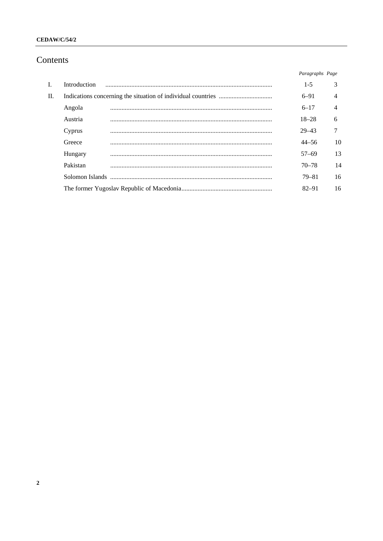### **CEDAW/C/54/2**

# Contents

|                |              | Paragraphs Page |    |
|----------------|--------------|-----------------|----|
| $\mathbf{I}$ . | Introduction | $1-5$           | 3  |
| II.            |              | $6 - 91$        | 4  |
|                | Angola       | $6 - 17$        | 4  |
|                | Austria      | $18 - 28$       | 6  |
|                | Cyprus       | $29 - 43$       |    |
|                | Greece       | $44 - 56$       | 10 |
|                | Hungary      | $57 - 69$       | 13 |
|                | Pakistan     | $70 - 78$       | 14 |
|                |              | 79–81           | 16 |
|                |              | $82 - 91$       | 16 |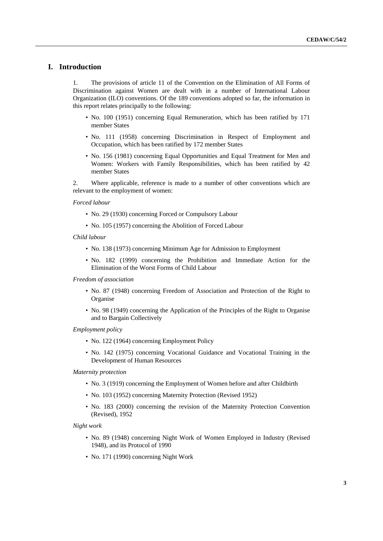### **I. Introduction**

1. The provisions of article 11 of the Convention on the Elimination of All Forms of Discrimination against Women are dealt with in a number of International Labour Organization (ILO) conventions. Of the 189 conventions adopted so far, the information in this report relates principally to the following:

- No. 100 (1951) concerning Equal Remuneration, which has been ratified by 171 member States
- No. 111 (1958) concerning Discrimination in Respect of Employment and Occupation, which has been ratified by 172 member States
- No. 156 (1981) concerning Equal Opportunities and Equal Treatment for Men and Women: Workers with Family Responsibilities, which has been ratified by 42 member States

2. Where applicable, reference is made to a number of other conventions which are relevant to the employment of women:

*Forced labour* 

- No. 29 (1930) concerning Forced or Compulsory Labour
- No. 105 (1957) concerning the Abolition of Forced Labour
- *Child labour* 
	- No. 138 (1973) concerning Minimum Age for Admission to Employment
	- No. 182 (1999) concerning the Prohibition and Immediate Action for the Elimination of the Worst Forms of Child Labour

*Freedom of association* 

- No. 87 (1948) concerning Freedom of Association and Protection of the Right to Organise
- No. 98 (1949) concerning the Application of the Principles of the Right to Organise and to Bargain Collectively

*Employment policy* 

- No. 122 (1964) concerning Employment Policy
- No. 142 (1975) concerning Vocational Guidance and Vocational Training in the Development of Human Resources

#### *Maternity protection*

- No. 3 (1919) concerning the Employment of Women before and after Childbirth
- No. 103 (1952) concerning Maternity Protection (Revised 1952)
- No. 183 (2000) concerning the revision of the Maternity Protection Convention (Revised), 1952

*Night work* 

- No. 89 (1948) concerning Night Work of Women Employed in Industry (Revised 1948), and its Protocol of 1990
- No. 171 (1990) concerning Night Work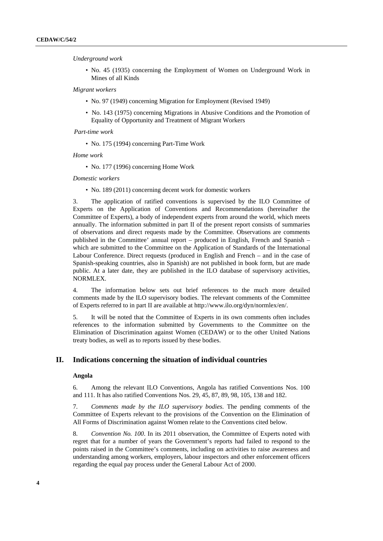#### *Underground work*

• No. 45 (1935) concerning the Employment of Women on Underground Work in Mines of all Kinds

#### *Migrant workers*

- No. 97 (1949) concerning Migration for Employment (Revised 1949)
- No. 143 (1975) concerning Migrations in Abusive Conditions and the Promotion of Equality of Opportunity and Treatment of Migrant Workers

#### *Part-time work*

• No. 175 (1994) concerning Part-Time Work

*Home work* 

• No. 177 (1996) concerning Home Work

#### *Domestic workers*

• No. 189 (2011) concerning decent work for domestic workers

3. The application of ratified conventions is supervised by the ILO Committee of Experts on the Application of Conventions and Recommendations (hereinafter the Committee of Experts), a body of independent experts from around the world, which meets annually. The information submitted in part II of the present report consists of summaries of observations and direct requests made by the Committee. Observations are comments published in the Committee' annual report – produced in English, French and Spanish – which are submitted to the Committee on the Application of Standards of the International Labour Conference. Direct requests (produced in English and French – and in the case of Spanish-speaking countries, also in Spanish) are not published in book form, but are made public. At a later date, they are published in the ILO database of supervisory activities, NORMLEX.

4. The information below sets out brief references to the much more detailed comments made by the ILO supervisory bodies. The relevant comments of the Committee of Experts referred to in part II are available at<http://www.ilo.org/dyn/normlex/en/>.

5. It will be noted that the Committee of Experts in its own comments often includes references to the information submitted by Governments to the Committee on the Elimination of Discrimination against Women (CEDAW) or to the other United Nations treaty bodies, as well as to reports issued by these bodies.

#### **II. Indications concerning the situation of individual countries**

#### **Angola**

6. Among the relevant ILO Conventions, Angola has ratified Conventions Nos. 100 and 111. It has also ratified Conventions Nos. 29, 45, 87, 89, 98, 105, 138 and 182.

7. *Comments made by the ILO supervisory bodies*. The pending comments of the Committee of Experts relevant to the provisions of the Convention on the Elimination of All Forms of Discrimination against Women relate to the Conventions cited below.

8. *Convention No. 100*. In its 2011 observation, the Committee of Experts noted with regret that for a number of years the Government's reports had failed to respond to the points raised in the Committee's comments, including on activities to raise awareness and understanding among workers, employers, labour inspectors and other enforcement officers regarding the equal pay process under the General Labour Act of 2000.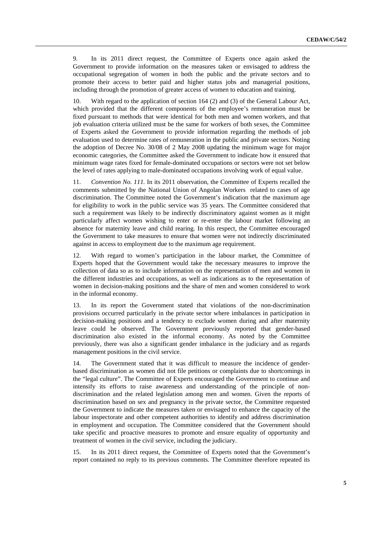9. In its 2011 direct request, the Committee of Experts once again asked the Government to provide information on the measures taken or envisaged to address the occupational segregation of women in both the public and the private sectors and to promote their access to better paid and higher status jobs and managerial positions, including through the promotion of greater access of women to education and training.

10. With regard to the application of section 164 (2) and (3) of the General Labour Act, which provided that the different components of the employee's remuneration must be fixed pursuant to methods that were identical for both men and women workers, and that job evaluation criteria utilized must be the same for workers of both sexes, the Committee of Experts asked the Government to provide information regarding the methods of job evaluation used to determine rates of remuneration in the public and private sectors. Noting the adoption of Decree No. 30/08 of 2 May 2008 updating the minimum wage for major economic categories, the Committee asked the Government to indicate how it ensured that minimum wage rates fixed for female-dominated occupations or sectors were not set below the level of rates applying to male-dominated occupations involving work of equal value.

11. *Convention No. 111.* In its 2011 observation, the Committee of Experts recalled the comments submitted by the National Union of Angolan Workers related to cases of age discrimination. The Committee noted the Government's indication that the maximum age for eligibility to work in the public service was 35 years. The Committee considered that such a requirement was likely to be indirectly discriminatory against women as it might particularly affect women wishing to enter or re-enter the labour market following an absence for maternity leave and child rearing. In this respect, the Committee encouraged the Government to take measures to ensure that women were not indirectly discriminated against in access to employment due to the maximum age requirement.

12. With regard to women's participation in the labour market, the Committee of Experts hoped that the Government would take the necessary measures to improve the collection of data so as to include information on the representation of men and women in the different industries and occupations, as well as indications as to the representation of women in decision-making positions and the share of men and women considered to work in the informal economy.

13. In its report the Government stated that violations of the non-discrimination provisions occurred particularly in the private sector where imbalances in participation in decision-making positions and a tendency to exclude women during and after maternity leave could be observed. The Government previously reported that gender-based discrimination also existed in the informal economy. As noted by the Committee previously, there was also a significant gender imbalance in the judiciary and as regards management positions in the civil service.

14. The Government stated that it was difficult to measure the incidence of genderbased discrimination as women did not file petitions or complaints due to shortcomings in the "legal culture". The Committee of Experts encouraged the Government to continue and intensify its efforts to raise awareness and understanding of the principle of nondiscrimination and the related legislation among men and women. Given the reports of discrimination based on sex and pregnancy in the private sector, the Committee requested the Government to indicate the measures taken or envisaged to enhance the capacity of the labour inspectorate and other competent authorities to identify and address discrimination in employment and occupation. The Committee considered that the Government should take specific and proactive measures to promote and ensure equality of opportunity and treatment of women in the civil service, including the judiciary.

15. In its 2011 direct request, the Committee of Experts noted that the Government's report contained no reply to its previous comments. The Committee therefore repeated its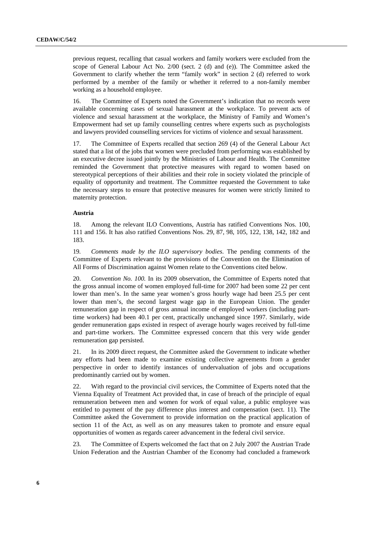previous request, recalling that casual workers and family workers were excluded from the scope of General Labour Act No. 2/00 (sect. 2 (d) and (e)). The Committee asked the Government to clarify whether the term "family work" in section 2 (d) referred to work performed by a member of the family or whether it referred to a non-family member working as a household employee.

16. The Committee of Experts noted the Government's indication that no records were available concerning cases of sexual harassment at the workplace. To prevent acts of violence and sexual harassment at the workplace, the Ministry of Family and Women's Empowerment had set up family counselling centres where experts such as psychologists and lawyers provided counselling services for victims of violence and sexual harassment.

17. The Committee of Experts recalled that section 269 (4) of the General Labour Act stated that a list of the jobs that women were precluded from performing was established by an executive decree issued jointly by the Ministries of Labour and Health. The Committee reminded the Government that protective measures with regard to women based on stereotypical perceptions of their abilities and their role in society violated the principle of equality of opportunity and treatment. The Committee requested the Government to take the necessary steps to ensure that protective measures for women were strictly limited to maternity protection.

#### **Austria**

18. Among the relevant ILO Conventions, Austria has ratified Conventions Nos. 100, 111 and 156. It has also ratified Conventions Nos. 29, 87, 98, 105, 122, 138, 142, 182 and 183.

19*. Comments made by the ILO supervisory bodies*. The pending comments of the Committee of Experts relevant to the provisions of the Convention on the Elimination of All Forms of Discrimination against Women relate to the Conventions cited below.

20. *Convention No. 100.* In its 2009 observation, the Committee of Experts noted that the gross annual income of women employed full-time for 2007 had been some 22 per cent lower than men's. In the same year women's gross hourly wage had been 25.5 per cent lower than men's, the second largest wage gap in the European Union. The gender remuneration gap in respect of gross annual income of employed workers (including parttime workers) had been 40.1 per cent, practically unchanged since 1997. Similarly, wide gender remuneration gaps existed in respect of average hourly wages received by full-time and part-time workers. The Committee expressed concern that this very wide gender remuneration gap persisted.

21. In its 2009 direct request, the Committee asked the Government to indicate whether any efforts had been made to examine existing collective agreements from a gender perspective in order to identify instances of undervaluation of jobs and occupations predominantly carried out by women.

22. With regard to the provincial civil services, the Committee of Experts noted that the Vienna Equality of Treatment Act provided that, in case of breach of the principle of equal remuneration between men and women for work of equal value, a public employee was entitled to payment of the pay difference plus interest and compensation (sect. 11). The Committee asked the Government to provide information on the practical application of section 11 of the Act, as well as on any measures taken to promote and ensure equal opportunities of women as regards career advancement in the federal civil service.

23. The Committee of Experts welcomed the fact that on 2 July 2007 the Austrian Trade Union Federation and the Austrian Chamber of the Economy had concluded a framework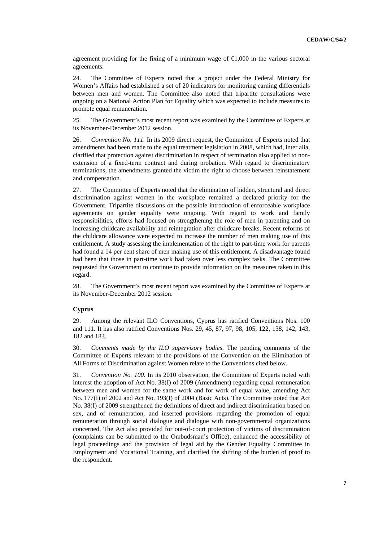agreement providing for the fixing of a minimum wage of  $\epsilon$ ,000 in the various sectoral agreements.

24. The Committee of Experts noted that a project under the Federal Ministry for Women's Affairs had established a set of 20 indicators for monitoring earning differentials between men and women. The Committee also noted that tripartite consultations were ongoing on a National Action Plan for Equality which was expected to include measures to promote equal remuneration.

25. The Government's most recent report was examined by the Committee of Experts at its November-December 2012 session.

26. *Convention No. 111.* In its 2009 direct request, the Committee of Experts noted that amendments had been made to the equal treatment legislation in 2008, which had, inter alia*,* clarified that protection against discrimination in respect of termination also applied to nonextension of a fixed-term contract and during probation. With regard to discriminatory terminations, the amendments granted the victim the right to choose between reinstatement and compensation.

27. The Committee of Experts noted that the elimination of hidden, structural and direct discrimination against women in the workplace remained a declared priority for the Government. Tripartite discussions on the possible introduction of enforceable workplace agreements on gender equality were ongoing. With regard to work and family responsibilities, efforts had focused on strengthening the role of men in parenting and on increasing childcare availability and reintegration after childcare breaks. Recent reforms of the childcare allowance were expected to increase the number of men making use of this entitlement. A study assessing the implementation of the right to part-time work for parents had found a 14 per cent share of men making use of this entitlement. A disadvantage found had been that those in part-time work had taken over less complex tasks. The Committee requested the Government to continue to provide information on the measures taken in this regard.

28. The Government's most recent report was examined by the Committee of Experts at its November-December 2012 session.

## **Cyprus**

29. Among the relevant ILO Conventions, Cyprus has ratified Conventions Nos. 100 and 111. It has also ratified Conventions Nos. 29, 45, 87, 97, 98, 105, 122, 138, 142, 143, 182 and 183.

30. *Comments made by the ILO supervisory bodies*. The pending comments of the Committee of Experts relevant to the provisions of the Convention on the Elimination of All Forms of Discrimination against Women relate to the Conventions cited below.

31. *Convention No. 100*. In its 2010 observation, the Committee of Experts noted with interest the adoption of Act No. 38(I) of 2009 (Amendment) regarding equal remuneration between men and women for the same work and for work of equal value, amending Act No. 177(I) of 2002 and Act No. 193(I) of 2004 (Basic Acts). The Committee noted that Act No. 38(I) of 2009 strengthened the definitions of direct and indirect discrimination based on sex, and of remuneration, and inserted provisions regarding the promotion of equal remuneration through social dialogue and dialogue with non-governmental organizations concerned. The Act also provided for out-of-court protection of victims of discrimination (complaints can be submitted to the Ombudsman's Office), enhanced the accessibility of legal proceedings and the provision of legal aid by the Gender Equality Committee in Employment and Vocational Training, and clarified the shifting of the burden of proof to the respondent.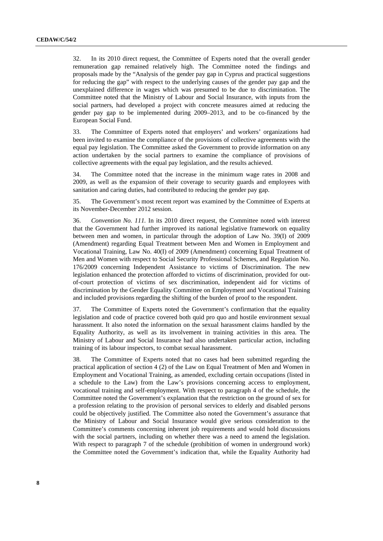32. In its 2010 direct request, the Committee of Experts noted that the overall gender remuneration gap remained relatively high. The Committee noted the findings and proposals made by the "Analysis of the gender pay gap in Cyprus and practical suggestions for reducing the gap" with respect to the underlying causes of the gender pay gap and the unexplained difference in wages which was presumed to be due to discrimination. The Committee noted that the Ministry of Labour and Social Insurance, with inputs from the social partners, had developed a project with concrete measures aimed at reducing the gender pay gap to be implemented during 2009–2013, and to be co-financed by the European Social Fund.

33. The Committee of Experts noted that employers' and workers' organizations had been invited to examine the compliance of the provisions of collective agreements with the equal pay legislation. The Committee asked the Government to provide information on any action undertaken by the social partners to examine the compliance of provisions of collective agreements with the equal pay legislation, and the results achieved.

34. The Committee noted that the increase in the minimum wage rates in 2008 and 2009, as well as the expansion of their coverage to security guards and employees with sanitation and caring duties, had contributed to reducing the gender pay gap.

35. The Government's most recent report was examined by the Committee of Experts at its November-December 2012 session.

36. *Convention No. 111.* In its 2010 direct request, the Committee noted with interest that the Government had further improved its national legislative framework on equality between men and women, in particular through the adoption of Law No. 39(I) of 2009 (Amendment) regarding Equal Treatment between Men and Women in Employment and Vocational Training, Law No. 40(I) of 2009 (Amendment) concerning Equal Treatment of Men and Women with respect to Social Security Professional Schemes, and Regulation No. 176/2009 concerning Independent Assistance to victims of Discrimination. The new legislation enhanced the protection afforded to victims of discrimination, provided for outof-court protection of victims of sex discrimination, independent aid for victims of discrimination by the Gender Equality Committee on Employment and Vocational Training and included provisions regarding the shifting of the burden of proof to the respondent.

37. The Committee of Experts noted the Government's confirmation that the equality legislation and code of practice covered both quid pro quo and hostile environment sexual harassment. It also noted the information on the sexual harassment claims handled by the Equality Authority, as well as its involvement in training activities in this area. The Ministry of Labour and Social Insurance had also undertaken particular action, including training of its labour inspectors, to combat sexual harassment.

38. The Committee of Experts noted that no cases had been submitted regarding the practical application of section 4 (2) of the Law on Equal Treatment of Men and Women in Employment and Vocational Training, as amended, excluding certain occupations (listed in a schedule to the Law) from the Law's provisions concerning access to employment, vocational training and self-employment. With respect to paragraph 4 of the schedule, the Committee noted the Government's explanation that the restriction on the ground of sex for a profession relating to the provision of personal services to elderly and disabled persons could be objectively justified. The Committee also noted the Government's assurance that the Ministry of Labour and Social Insurance would give serious consideration to the Committee's comments concerning inherent job requirements and would hold discussions with the social partners, including on whether there was a need to amend the legislation. With respect to paragraph 7 of the schedule (prohibition of women in underground work) the Committee noted the Government's indication that, while the Equality Authority had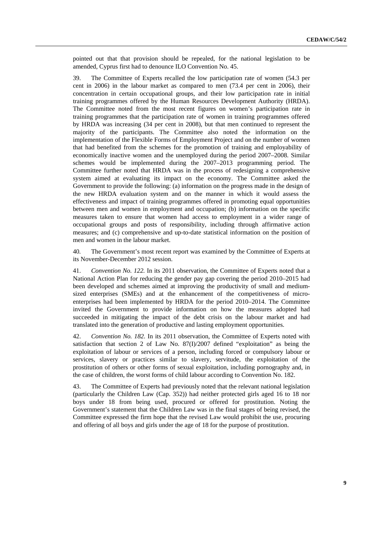pointed out that that provision should be repealed, for the national legislation to be amended, Cyprus first had to denounce ILO Convention No. 45.

39. The Committee of Experts recalled the low participation rate of women (54.3 per cent in 2006) in the labour market as compared to men (73.4 per cent in 2006), their concentration in certain occupational groups, and their low participation rate in initial training programmes offered by the Human Resources Development Authority (HRDA). The Committee noted from the most recent figures on women's participation rate in training programmes that the participation rate of women in training programmes offered by HRDA was increasing (34 per cent in 2008), but that men continued to represent the majority of the participants. The Committee also noted the information on the implementation of the Flexible Forms of Employment Project and on the number of women that had benefited from the schemes for the promotion of training and employability of economically inactive women and the unemployed during the period 2007–2008. Similar schemes would be implemented during the 2007–2013 programming period. The Committee further noted that HRDA was in the process of redesigning a comprehensive system aimed at evaluating its impact on the economy. The Committee asked the Government to provide the following: (a) information on the progress made in the design of the new HRDA evaluation system and on the manner in which it would assess the effectiveness and impact of training programmes offered in promoting equal opportunities between men and women in employment and occupation; (b) information on the specific measures taken to ensure that women had access to employment in a wider range of occupational groups and posts of responsibility, including through affirmative action measures; and (c) comprehensive and up-to-date statistical information on the position of men and women in the labour market.

40*.* The Government's most recent report was examined by the Committee of Experts at its November-December 2012 session.

41. *Convention No. 122.* In its 2011 observation, the Committee of Experts noted that a National Action Plan for reducing the gender pay gap covering the period 2010–2015 had been developed and schemes aimed at improving the productivity of small and mediumsized enterprises (SMEs) and at the enhancement of the competitiveness of microenterprises had been implemented by HRDA for the period 2010–2014. The Committee invited the Government to provide information on how the measures adopted had succeeded in mitigating the impact of the debt crisis on the labour market and had translated into the generation of productive and lasting employment opportunities.

42. *Convention No. 182.* In its 2011 observation, the Committee of Experts noted with satisfaction that section 2 of Law No. 87(I)/2007 defined "exploitation" as being the exploitation of labour or services of a person, including forced or compulsory labour or services, slavery or practices similar to slavery, servitude, the exploitation of the prostitution of others or other forms of sexual exploitation, including pornography and, in the case of children, the worst forms of child labour according to Convention No. 182.

43. The Committee of Experts had previously noted that the relevant national legislation (particularly the Children Law (Cap. 352)) had neither protected girls aged 16 to 18 nor boys under 18 from being used, procured or offered for prostitution. Noting the Government's statement that the Children Law was in the final stages of being revised, the Committee expressed the firm hope that the revised Law would prohibit the use, procuring and offering of all boys and girls under the age of 18 for the purpose of prostitution.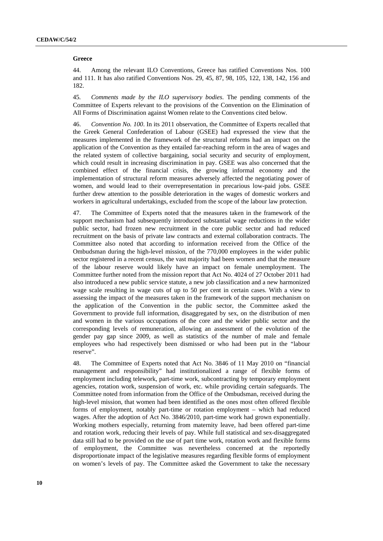#### **Greece**

44. Among the relevant ILO Conventions, Greece has ratified Conventions Nos. 100 and 111. It has also ratified Conventions Nos. 29, 45, 87, 98, 105, 122, 138, 142, 156 and 182.

45*. Comments made by the ILO supervisory bodies*. The pending comments of the Committee of Experts relevant to the provisions of the Convention on the Elimination of All Forms of Discrimination against Women relate to the Conventions cited below.

46. *Convention No. 100*. In its 2011 observation, the Committee of Experts recalled that the Greek General Confederation of Labour (GSEE) had expressed the view that the measures implemented in the framework of the structural reforms had an impact on the application of the Convention as they entailed far-reaching reform in the area of wages and the related system of collective bargaining, social security and security of employment, which could result in increasing discrimination in pay. GSEE was also concerned that the combined effect of the financial crisis, the growing informal economy and the implementation of structural reform measures adversely affected the negotiating power of women, and would lead to their overrepresentation in precarious low-paid jobs. GSEE further drew attention to the possible deterioration in the wages of domestic workers and workers in agricultural undertakings, excluded from the scope of the labour law protection.

47. The Committee of Experts noted that the measures taken in the framework of the support mechanism had subsequently introduced substantial wage reductions in the wider public sector, had frozen new recruitment in the core public sector and had reduced recruitment on the basis of private law contracts and external collaboration contracts. The Committee also noted that according to information received from the Office of the Ombudsman during the high-level mission, of the 770,000 employees in the wider public sector registered in a recent census, the vast majority had been women and that the measure of the labour reserve would likely have an impact on female unemployment. The Committee further noted from the mission report that Act No. 4024 of 27 October 2011 had also introduced a new public service statute, a new job classification and a new harmonized wage scale resulting in wage cuts of up to 50 per cent in certain cases. With a view to assessing the impact of the measures taken in the framework of the support mechanism on the application of the Convention in the public sector, the Committee asked the Government to provide full information, disaggregated by sex, on the distribution of men and women in the various occupations of the core and the wider public sector and the corresponding levels of remuneration, allowing an assessment of the evolution of the gender pay gap since 2009, as well as statistics of the number of male and female employees who had respectively been dismissed or who had been put in the "labour reserve".

48. The Committee of Experts noted that Act No. 3846 of 11 May 2010 on "financial management and responsibility" had institutionalized a range of flexible forms of employment including telework, part-time work, subcontracting by temporary employment agencies, rotation work, suspension of work, etc. while providing certain safeguards. The Committee noted from information from the Office of the Ombudsman, received during the high-level mission, that women had been identified as the ones most often offered flexible forms of employment, notably part-time or rotation employment – which had reduced wages. After the adoption of Act No. 3846/2010, part-time work had grown exponentially. Working mothers especially, returning from maternity leave, had been offered part-time and rotation work, reducing their levels of pay. While full statistical and sex-disaggregated data still had to be provided on the use of part time work, rotation work and flexible forms of employment, the Committee was nevertheless concerned at the reportedly disproportionate impact of the legislative measures regarding flexible forms of employment on women's levels of pay. The Committee asked the Government to take the necessary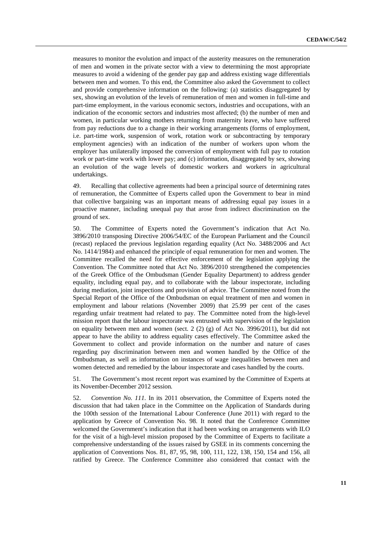measures to monitor the evolution and impact of the austerity measures on the remuneration of men and women in the private sector with a view to determining the most appropriate measures to avoid a widening of the gender pay gap and address existing wage differentials between men and women. To this end, the Committee also asked the Government to collect and provide comprehensive information on the following: (a) statistics disaggregated by sex, showing an evolution of the levels of remuneration of men and women in full-time and part-time employment, in the various economic sectors, industries and occupations, with an indication of the economic sectors and industries most affected; (b) the number of men and women, in particular working mothers returning from maternity leave, who have suffered from pay reductions due to a change in their working arrangements (forms of employment, i.e. part-time work, suspension of work, rotation work or subcontracting by temporary employment agencies) with an indication of the number of workers upon whom the employer has unilaterally imposed the conversion of employment with full pay to rotation work or part-time work with lower pay; and (c) information, disaggregated by sex, showing an evolution of the wage levels of domestic workers and workers in agricultural undertakings.

49. Recalling that collective agreements had been a principal source of determining rates of remuneration, the Committee of Experts called upon the Government to bear in mind that collective bargaining was an important means of addressing equal pay issues in a proactive manner, including unequal pay that arose from indirect discrimination on the ground of sex.

50. The Committee of Experts noted the Government's indication that Act No. 3896/2010 transposing Directive 2006/54/EC of the European Parliament and the Council (recast) replaced the previous legislation regarding equality (Act No. 3488/2006 and Act No. 1414/1984) and enhanced the principle of equal remuneration for men and women. The Committee recalled the need for effective enforcement of the legislation applying the Convention. The Committee noted that Act No. 3896/2010 strengthened the competencies of the Greek Office of the Ombudsman (Gender Equality Department) to address gender equality, including equal pay, and to collaborate with the labour inspectorate, including during mediation, joint inspections and provision of advice. The Committee noted from the Special Report of the Office of the Ombudsman on equal treatment of men and women in employment and labour relations (November 2009) that 25.99 per cent of the cases regarding unfair treatment had related to pay. The Committee noted from the high-level mission report that the labour inspectorate was entrusted with supervision of the legislation on equality between men and women (sect. 2 (2) (g) of Act No. 3996/2011), but did not appear to have the ability to address equality cases effectively. The Committee asked the Government to collect and provide information on the number and nature of cases regarding pay discrimination between men and women handled by the Office of the Ombudsman, as well as information on instances of wage inequalities between men and women detected and remedied by the labour inspectorate and cases handled by the courts.

51*.* The Government's most recent report was examined by the Committee of Experts at its November-December 2012 session*.* 

52. *Convention No. 111.* In its 2011 observation, the Committee of Experts noted the discussion that had taken place in the Committee on the Application of Standards during the 100th session of the International Labour Conference (June 2011) with regard to the application by Greece of Convention No. 98. It noted that the Conference Committee welcomed the Government's indication that it had been working on arrangements with ILO for the visit of a high-level mission proposed by the Committee of Experts to facilitate a comprehensive understanding of the issues raised by GSEE in its comments concerning the application of Conventions Nos. 81, 87, 95, 98, 100, 111, 122, 138, 150, 154 and 156, all ratified by Greece. The Conference Committee also considered that contact with the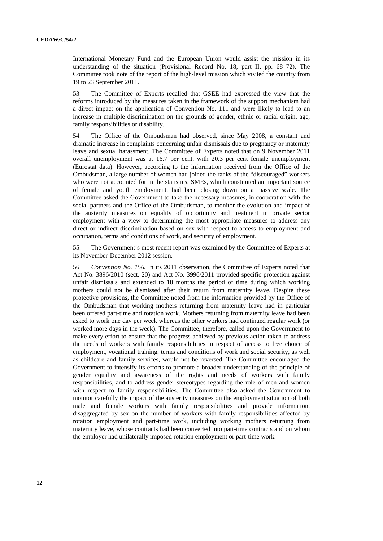International Monetary Fund and the European Union would assist the mission in its understanding of the situation (Provisional Record No. 18, part II, pp. 68–72). The Committee took note of the report of the high-level mission which visited the country from 19 to 23 September 2011.

53. The Committee of Experts recalled that GSEE had expressed the view that the reforms introduced by the measures taken in the framework of the support mechanism had a direct impact on the application of Convention No. 111 and were likely to lead to an increase in multiple discrimination on the grounds of gender, ethnic or racial origin, age, family responsibilities or disability.

54. The Office of the Ombudsman had observed, since May 2008, a constant and dramatic increase in complaints concerning unfair dismissals due to pregnancy or maternity leave and sexual harassment. The Committee of Experts noted that on 9 November 2011 overall unemployment was at 16.7 per cent, with 20.3 per cent female unemployment (Eurostat data). However, according to the information received from the Office of the Ombudsman, a large number of women had joined the ranks of the "discouraged" workers who were not accounted for in the statistics. SMEs, which constituted an important source of female and youth employment, had been closing down on a massive scale. The Committee asked the Government to take the necessary measures, in cooperation with the social partners and the Office of the Ombudsman, to monitor the evolution and impact of the austerity measures on equality of opportunity and treatment in private sector employment with a view to determining the most appropriate measures to address any direct or indirect discrimination based on sex with respect to access to employment and occupation, terms and conditions of work, and security of employment.

55. The Government's most recent report was examined by the Committee of Experts at its November-December 2012 session.

56. *Convention No. 156.* In its 2011 observation, the Committee of Experts noted that Act No. 3896/2010 (sect. 20) and Act No. 3996/2011 provided specific protection against unfair dismissals and extended to 18 months the period of time during which working mothers could not be dismissed after their return from maternity leave. Despite these protective provisions, the Committee noted from the information provided by the Office of the Ombudsman that working mothers returning from maternity leave had in particular been offered part-time and rotation work. Mothers returning from maternity leave had been asked to work one day per week whereas the other workers had continued regular work (or worked more days in the week). The Committee, therefore, called upon the Government to make every effort to ensure that the progress achieved by previous action taken to address the needs of workers with family responsibilities in respect of access to free choice of employment, vocational training, terms and conditions of work and social security, as well as childcare and family services, would not be reversed. The Committee encouraged the Government to intensify its efforts to promote a broader understanding of the principle of gender equality and awareness of the rights and needs of workers with family responsibilities, and to address gender stereotypes regarding the role of men and women with respect to family responsibilities. The Committee also asked the Government to monitor carefully the impact of the austerity measures on the employment situation of both male and female workers with family responsibilities and provide information, disaggregated by sex on the number of workers with family responsibilities affected by rotation employment and part-time work, including working mothers returning from maternity leave, whose contracts had been converted into part-time contracts and on whom the employer had unilaterally imposed rotation employment or part-time work.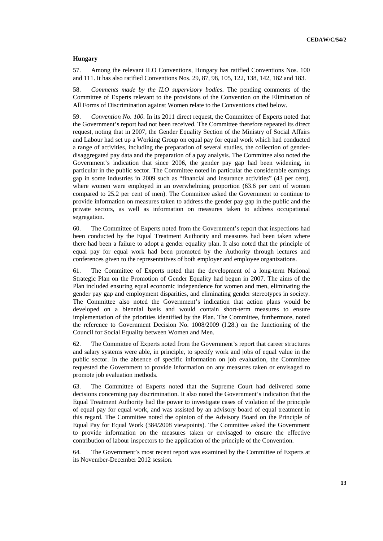#### **Hungary**

57. Among the relevant ILO Conventions, Hungary has ratified Conventions Nos. 100 and 111. It has also ratified Conventions Nos. 29, 87, 98, 105, 122, 138, 142, 182 and 183.

58. *Comments made by the ILO supervisory bodies*. The pending comments of the Committee of Experts relevant to the provisions of the Convention on the Elimination of All Forms of Discrimination against Women relate to the Conventions cited below.

59. *Convention No. 100.* In its 2011 direct request, the Committee of Experts noted that the Government's report had not been received. The Committee therefore repeated its direct request, noting that in 2007, the Gender Equality Section of the Ministry of Social Affairs and Labour had set up a Working Group on equal pay for equal work which had conducted a range of activities, including the preparation of several studies, the collection of genderdisaggregated pay data and the preparation of a pay analysis. The Committee also noted the Government's indication that since 2006, the gender pay gap had been widening, in particular in the public sector. The Committee noted in particular the considerable earnings gap in some industries in 2009 such as "financial and insurance activities" (43 per cent), where women were employed in an overwhelming proportion (63.6 per cent of women compared to 25.2 per cent of men). The Committee asked the Government to continue to provide information on measures taken to address the gender pay gap in the public and the private sectors, as well as information on measures taken to address occupational segregation.

60. The Committee of Experts noted from the Government's report that inspections had been conducted by the Equal Treatment Authority and measures had been taken where there had been a failure to adopt a gender equality plan. It also noted that the principle of equal pay for equal work had been promoted by the Authority through lectures and conferences given to the representatives of both employer and employee organizations.

61. The Committee of Experts noted that the development of a long-term National Strategic Plan on the Promotion of Gender Equality had begun in 2007. The aims of the Plan included ensuring equal economic independence for women and men, eliminating the gender pay gap and employment disparities, and eliminating gender stereotypes in society. The Committee also noted the Government's indication that action plans would be developed on a biennial basis and would contain short-term measures to ensure implementation of the priorities identified by the Plan. The Committee, furthermore, noted the reference to Government Decision No. 1008/2009 (I.28.) on the functioning of the Council for Social Equality between Women and Men.

62. The Committee of Experts noted from the Government's report that career structures and salary systems were able, in principle, to specify work and jobs of equal value in the public sector. In the absence of specific information on job evaluation, the Committee requested the Government to provide information on any measures taken or envisaged to promote job evaluation methods.

63. The Committee of Experts noted that the Supreme Court had delivered some decisions concerning pay discrimination. It also noted the Government's indication that the Equal Treatment Authority had the power to investigate cases of violation of the principle of equal pay for equal work, and was assisted by an advisory board of equal treatment in this regard. The Committee noted the opinion of the Advisory Board on the Principle of Equal Pay for Equal Work (384/2008 viewpoints). The Committee asked the Government to provide information on the measures taken or envisaged to ensure the effective contribution of labour inspectors to the application of the principle of the Convention.

64*.* The Government's most recent report was examined by the Committee of Experts at its November-December 2012 session.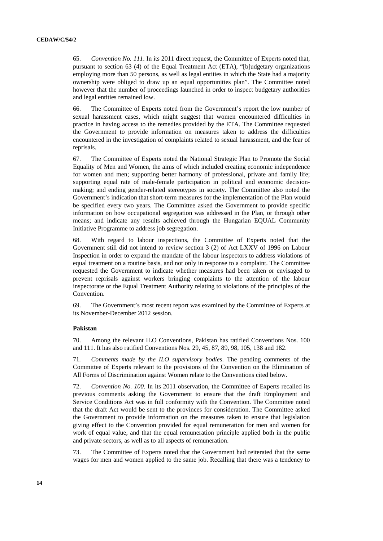65. *Convention No. 111*. In its 2011 direct request, the Committee of Experts noted that, pursuant to section 63 (4) of the Equal Treatment Act (ETA), "[b]udgetary organizations employing more than 50 persons, as well as legal entities in which the State had a majority ownership were obliged to draw up an equal opportunities plan". The Committee noted however that the number of proceedings launched in order to inspect budgetary authorities and legal entities remained low.

66. The Committee of Experts noted from the Government's report the low number of sexual harassment cases, which might suggest that women encountered difficulties in practice in having access to the remedies provided by the ETA. The Committee requested the Government to provide information on measures taken to address the difficulties encountered in the investigation of complaints related to sexual harassment, and the fear of reprisals.

67. The Committee of Experts noted the National Strategic Plan to Promote the Social Equality of Men and Women, the aims of which included creating economic independence for women and men; supporting better harmony of professional, private and family life; supporting equal rate of male-female participation in political and economic decisionmaking; and ending gender-related stereotypes in society. The Committee also noted the Government's indication that short-term measures for the implementation of the Plan would be specified every two years. The Committee asked the Government to provide specific information on how occupational segregation was addressed in the Plan, or through other means; and indicate any results achieved through the Hungarian EQUAL Community Initiative Programme to address job segregation.

68. With regard to labour inspections, the Committee of Experts noted that the Government still did not intend to review section 3 (2) of Act LXXV of 1996 on Labour Inspection in order to expand the mandate of the labour inspectors to address violations of equal treatment on a routine basis, and not only in response to a complaint. The Committee requested the Government to indicate whether measures had been taken or envisaged to prevent reprisals against workers bringing complaints to the attention of the labour inspectorate or the Equal Treatment Authority relating to violations of the principles of the Convention.

69. The Government's most recent report was examined by the Committee of Experts at its November-December 2012 session.

#### **Pakistan**

70. Among the relevant ILO Conventions, Pakistan has ratified Conventions Nos. 100 and 111. It has also ratified Conventions Nos. 29, 45, 87, 89, 98, 105, 138 and 182.

71*. Comments made by the ILO supervisory bodies*. The pending comments of the Committee of Experts relevant to the provisions of the Convention on the Elimination of All Forms of Discrimination against Women relate to the Conventions cited below.

72. *Convention No. 100.* In its 2011 observation, the Committee of Experts recalled its previous comments asking the Government to ensure that the draft Employment and Service Conditions Act was in full conformity with the Convention. The Committee noted that the draft Act would be sent to the provinces for consideration. The Committee asked the Government to provide information on the measures taken to ensure that legislation giving effect to the Convention provided for equal remuneration for men and women for work of equal value, and that the equal remuneration principle applied both in the public and private sectors, as well as to all aspects of remuneration.

73. The Committee of Experts noted that the Government had reiterated that the same wages for men and women applied to the same job. Recalling that there was a tendency to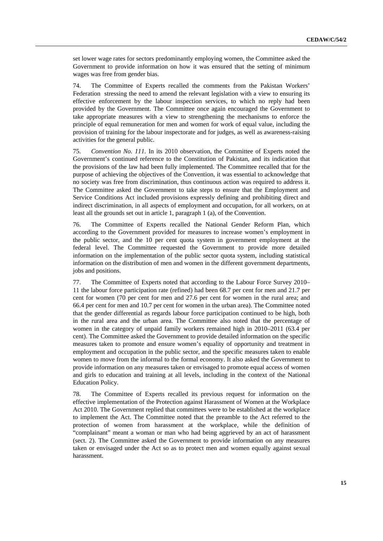set lower wage rates for sectors predominantly employing women, the Committee asked the Government to provide information on how it was ensured that the setting of minimum wages was free from gender bias.

74. The Committee of Experts recalled the comments from the Pakistan Workers' Federation stressing the need to amend the relevant legislation with a view to ensuring its effective enforcement by the labour inspection services, to which no reply had been provided by the Government. The Committee once again encouraged the Government to take appropriate measures with a view to strengthening the mechanisms to enforce the principle of equal remuneration for men and women for work of equal value, including the provision of training for the labour inspectorate and for judges, as well as awareness-raising activities for the general public.

75. *Convention No. 111.* In its 2010 observation, the Committee of Experts noted the Government's continued reference to the Constitution of Pakistan, and its indication that the provisions of the law had been fully implemented. The Committee recalled that for the purpose of achieving the objectives of the Convention, it was essential to acknowledge that no society was free from discrimination, thus continuous action was required to address it. The Committee asked the Government to take steps to ensure that the Employment and Service Conditions Act included provisions expressly defining and prohibiting direct and indirect discrimination, in all aspects of employment and occupation, for all workers, on at least all the grounds set out in article 1, paragraph 1 (a), of the Convention.

76. The Committee of Experts recalled the National Gender Reform Plan, which according to the Government provided for measures to increase women's employment in the public sector, and the 10 per cent quota system in government employment at the federal level. The Committee requested the Government to provide more detailed information on the implementation of the public sector quota system, including statistical information on the distribution of men and women in the different government departments, jobs and positions.

77. The Committee of Experts noted that according to the Labour Force Survey 2010– 11 the labour force participation rate (refined) had been 68.7 per cent for men and 21.7 per cent for women (70 per cent for men and 27.6 per cent for women in the rural area; and 66.4 per cent for men and 10.7 per cent for women in the urban area). The Committee noted that the gender differential as regards labour force participation continued to be high, both in the rural area and the urban area. The Committee also noted that the percentage of women in the category of unpaid family workers remained high in 2010–2011 (63.4 per cent). The Committee asked the Government to provide detailed information on the specific measures taken to promote and ensure women's equality of opportunity and treatment in employment and occupation in the public sector, and the specific measures taken to enable women to move from the informal to the formal economy. It also asked the Government to provide information on any measures taken or envisaged to promote equal access of women and girls to education and training at all levels, including in the context of the National Education Policy.

78. The Committee of Experts recalled its previous request for information on the effective implementation of the Protection against Harassment of Women at the Workplace Act 2010. The Government replied that committees were to be established at the workplace to implement the Act. The Committee noted that the preamble to the Act referred to the protection of women from harassment at the workplace, while the definition of "complainant" meant a woman or man who had being aggrieved by an act of harassment (sect. 2). The Committee asked the Government to provide information on any measures taken or envisaged under the Act so as to protect men and women equally against sexual harassment.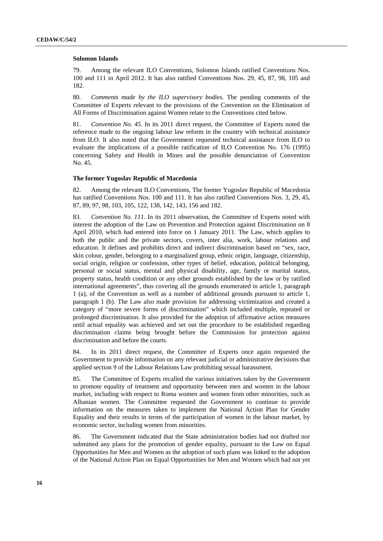#### **Solomon Islands**

79. Among the relevant ILO Conventions, Solomon Islands ratified Conventions Nos. 100 and 111 in April 2012. It has also ratified Conventions Nos. 29, 45, 87, 98, 105 and 182.

80*. Comments made by the ILO supervisory bodies*. The pending comments of the Committee of Experts relevant to the provisions of the Convention on the Elimination of All Forms of Discrimination against Women relate to the Conventions cited below.

81. *Convention No. 45.* In its 2011 direct request, the Committee of Experts noted the reference made to the ongoing labour law reform in the country with technical assistance from ILO. It also noted that the Government requested technical assistance from ILO to evaluate the implications of a possible ratification of ILO Convention No. 176 (1995) concerning Safety and Health in Mines and the possible denunciation of Convention No. 45.

#### **The former Yugoslav Republic of Macedonia**

82. Among the relevant ILO Conventions, The former Yugoslav Republic of Macedonia has ratified Conventions Nos. 100 and 111. It has also ratified Conventions Nos. 3, 29, 45, 87, 89, 97, 98, 103, 105, 122, 138, 142, 143, 156 and 182.

83. *Convention No. 111.* In its 2011 observation, the Committee of Experts noted with interest the adoption of the Law on Prevention and Protection against Discrimination on 8 April 2010, which had entered into force on 1 January 2011. The Law, which applies to both the public and the private sectors, covers, inter alia, work, labour relations and education. It defines and prohibits direct and indirect discrimination based on "sex, race, skin colour, gender, belonging to a marginalized group, ethnic origin, language, citizenship, social origin, religion or confession, other types of belief, education, political belonging, personal or social status, mental and physical disability, age, family or marital status, property status, health condition or any other grounds established by the law or by ratified international agreements", thus covering all the grounds enumerated in article 1, paragraph 1 (a), of the Convention as well as a number of additional grounds pursuant to article 1, paragraph 1 (b). The Law also made provision for addressing victimization and created a category of "more severe forms of discrimination" which included multiple, repeated or prolonged discrimination. It also provided for the adoption of affirmative action measures until actual equality was achieved and set out the procedure to be established regarding discrimination claims being brought before the Commission for protection against discrimination and before the courts.

84. In its 2011 direct request, the Committee of Experts once again requested the Government to provide information on any relevant judicial or administrative decisions that applied section 9 of the Labour Relations Law prohibiting sexual harassment.

85. The Committee of Experts recalled the various initiatives taken by the Government to promote equality of treatment and opportunity between men and women in the labour market, including with respect to Roma women and women from other minorities, such as Albanian women. The Committee requested the Government to continue to provide information on the measures taken to implement the National Action Plan for Gender Equality and their results in terms of the participation of women in the labour market, by economic sector, including women from minorities.

86. The Government indicated that the State administration bodies had not drafted nor submitted any plans for the promotion of gender equality, pursuant to the Law on Equal Opportunities for Men and Women as the adoption of such plans was linked to the adoption of the National Action Plan on Equal Opportunities for Men and Women which had not yet